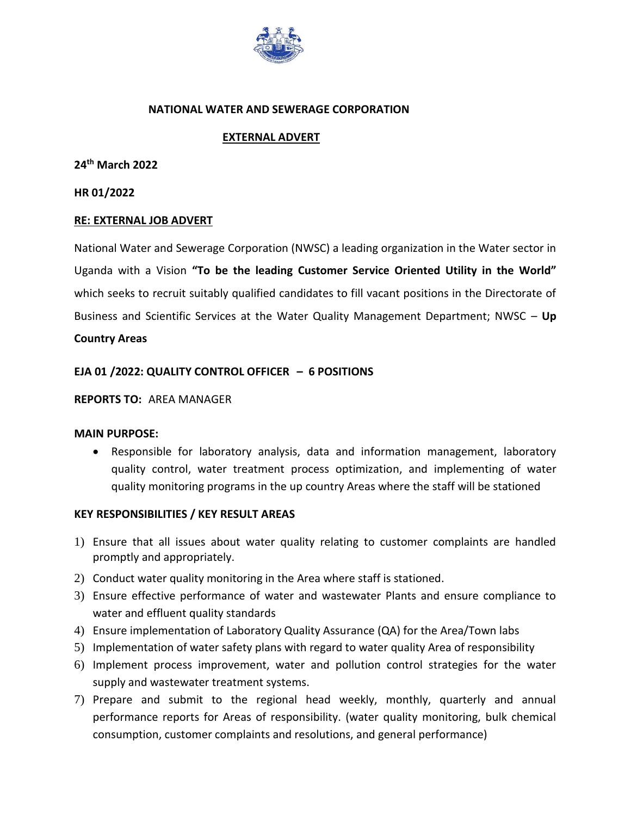

#### **NATIONAL WATER AND SEWERAGE CORPORATION**

## **EXTERNAL ADVERT**

**24th March 2022**

**HR 01/2022**

### **RE: EXTERNAL JOB ADVERT**

National Water and Sewerage Corporation (NWSC) a leading organization in the Water sector in Uganda with a Vision **"To be the leading Customer Service Oriented Utility in the World"** which seeks to recruit suitably qualified candidates to fill vacant positions in the Directorate of Business and Scientific Services at the Water Quality Management Department; NWSC – **Up** 

### **Country Areas**

### **EJA 01 /2022: QUALITY CONTROL OFFICER – 6 POSITIONS**

#### **REPORTS TO:** AREA MANAGER

#### **MAIN PURPOSE:**

 Responsible for laboratory analysis, data and information management, laboratory quality control, water treatment process optimization, and implementing of water quality monitoring programs in the up country Areas where the staff will be stationed

#### **KEY RESPONSIBILITIES / KEY RESULT AREAS**

- 1) Ensure that all issues about water quality relating to customer complaints are handled promptly and appropriately.
- 2) Conduct water quality monitoring in the Area where staff is stationed.
- 3) Ensure effective performance of water and wastewater Plants and ensure compliance to water and effluent quality standards
- 4) Ensure implementation of Laboratory Quality Assurance (QA) for the Area/Town labs
- 5) Implementation of water safety plans with regard to water quality Area of responsibility
- 6) Implement process improvement, water and pollution control strategies for the water supply and wastewater treatment systems.
- 7) Prepare and submit to the regional head weekly, monthly, quarterly and annual performance reports for Areas of responsibility. (water quality monitoring, bulk chemical consumption, customer complaints and resolutions, and general performance)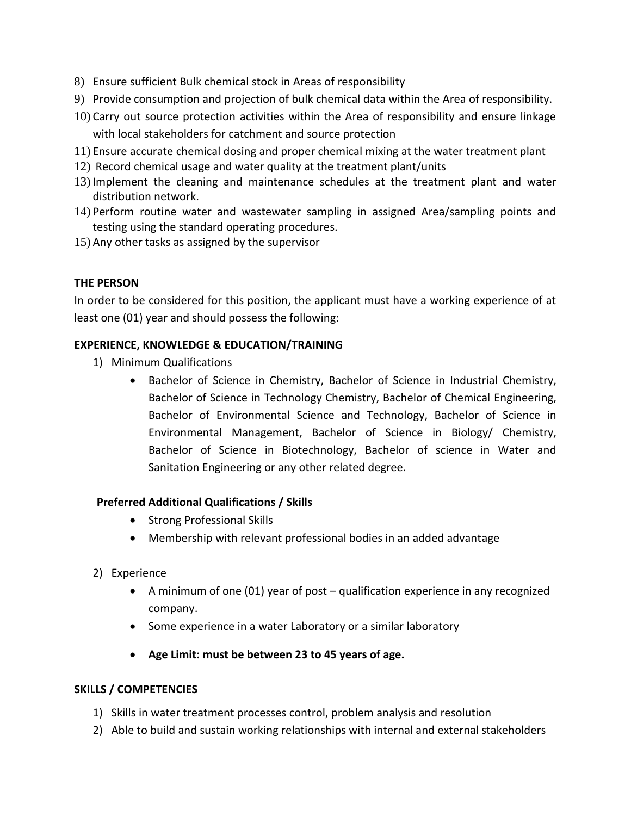- 8) Ensure sufficient Bulk chemical stock in Areas of responsibility
- 9) Provide consumption and projection of bulk chemical data within the Area of responsibility.
- 10) Carry out source protection activities within the Area of responsibility and ensure linkage with local stakeholders for catchment and source protection
- 11) Ensure accurate chemical dosing and proper chemical mixing at the water treatment plant
- 12) Record chemical usage and water quality at the treatment plant/units
- 13) Implement the cleaning and maintenance schedules at the treatment plant and water distribution network.
- 14) Perform routine water and wastewater sampling in assigned Area/sampling points and testing using the standard operating procedures.
- 15) Any other tasks as assigned by the supervisor

# **THE PERSON**

In order to be considered for this position, the applicant must have a working experience of at least one (01) year and should possess the following:

# **EXPERIENCE, KNOWLEDGE & EDUCATION/TRAINING**

- 1) Minimum Qualifications
	- Bachelor of Science in Chemistry, Bachelor of Science in Industrial Chemistry, Bachelor of Science in Technology Chemistry, Bachelor of Chemical Engineering, Bachelor of Environmental Science and Technology, Bachelor of Science in Environmental Management, Bachelor of Science in Biology/ Chemistry, Bachelor of Science in Biotechnology, Bachelor of science in Water and Sanitation Engineering or any other related degree.

## **Preferred Additional Qualifications / Skills**

- Strong Professional Skills
- Membership with relevant professional bodies in an added advantage
- 2) Experience
	- A minimum of one (01) year of post qualification experience in any recognized company.
	- Some experience in a water Laboratory or a similar laboratory
	- **Age Limit: must be between 23 to 45 years of age.**

## **SKILLS / COMPETENCIES**

- 1) Skills in water treatment processes control, problem analysis and resolution
- 2) Able to build and sustain working relationships with internal and external stakeholders